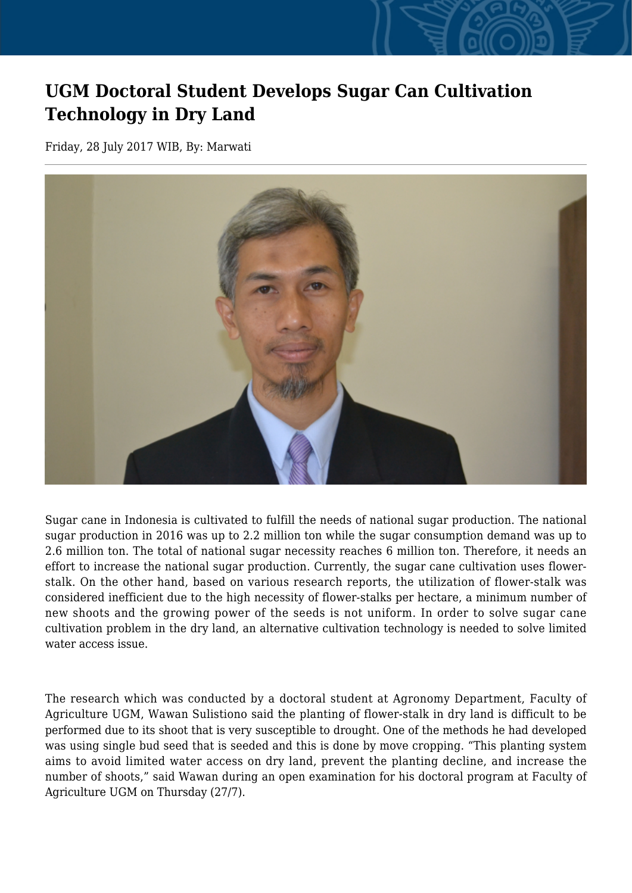## **UGM Doctoral Student Develops Sugar Can Cultivation Technology in Dry Land**

Friday, 28 July 2017 WIB, By: Marwati



Sugar cane in Indonesia is cultivated to fulfill the needs of national sugar production. The national sugar production in 2016 was up to 2.2 million ton while the sugar consumption demand was up to 2.6 million ton. The total of national sugar necessity reaches 6 million ton. Therefore, it needs an effort to increase the national sugar production. Currently, the sugar cane cultivation uses flowerstalk. On the other hand, based on various research reports, the utilization of flower-stalk was considered inefficient due to the high necessity of flower-stalks per hectare, a minimum number of new shoots and the growing power of the seeds is not uniform. In order to solve sugar cane cultivation problem in the dry land, an alternative cultivation technology is needed to solve limited water access issue.

The research which was conducted by a doctoral student at Agronomy Department, Faculty of Agriculture UGM, Wawan Sulistiono said the planting of flower-stalk in dry land is difficult to be performed due to its shoot that is very susceptible to drought. One of the methods he had developed was using single bud seed that is seeded and this is done by move cropping. "This planting system aims to avoid limited water access on dry land, prevent the planting decline, and increase the number of shoots," said Wawan during an open examination for his doctoral program at Faculty of Agriculture UGM on Thursday (27/7).